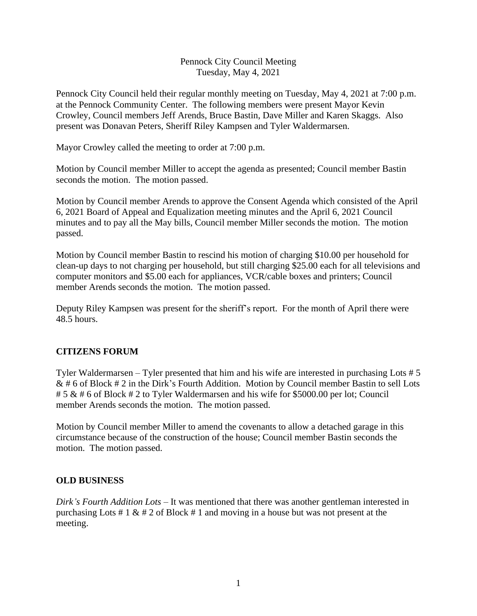## Pennock City Council Meeting Tuesday, May 4, 2021

Pennock City Council held their regular monthly meeting on Tuesday, May 4, 2021 at 7:00 p.m. at the Pennock Community Center. The following members were present Mayor Kevin Crowley, Council members Jeff Arends, Bruce Bastin, Dave Miller and Karen Skaggs. Also present was Donavan Peters, Sheriff Riley Kampsen and Tyler Waldermarsen.

Mayor Crowley called the meeting to order at 7:00 p.m.

Motion by Council member Miller to accept the agenda as presented; Council member Bastin seconds the motion. The motion passed.

Motion by Council member Arends to approve the Consent Agenda which consisted of the April 6, 2021 Board of Appeal and Equalization meeting minutes and the April 6, 2021 Council minutes and to pay all the May bills, Council member Miller seconds the motion. The motion passed.

Motion by Council member Bastin to rescind his motion of charging \$10.00 per household for clean-up days to not charging per household, but still charging \$25.00 each for all televisions and computer monitors and \$5.00 each for appliances, VCR/cable boxes and printers; Council member Arends seconds the motion. The motion passed.

Deputy Riley Kampsen was present for the sheriff's report. For the month of April there were 48.5 hours.

### **CITIZENS FORUM**

Tyler Waldermarsen – Tyler presented that him and his wife are interested in purchasing Lots # 5  $& 46$  of Block  $# 2$  in the Dirk's Fourth Addition. Motion by Council member Bastin to sell Lots # 5 & # 6 of Block # 2 to Tyler Waldermarsen and his wife for \$5000.00 per lot; Council member Arends seconds the motion. The motion passed.

Motion by Council member Miller to amend the covenants to allow a detached garage in this circumstance because of the construction of the house; Council member Bastin seconds the motion. The motion passed.

### **OLD BUSINESS**

*Dirk's Fourth Addition Lots –* It was mentioned that there was another gentleman interested in purchasing Lots # 1  $\&$  # 2 of Block # 1 and moving in a house but was not present at the meeting.